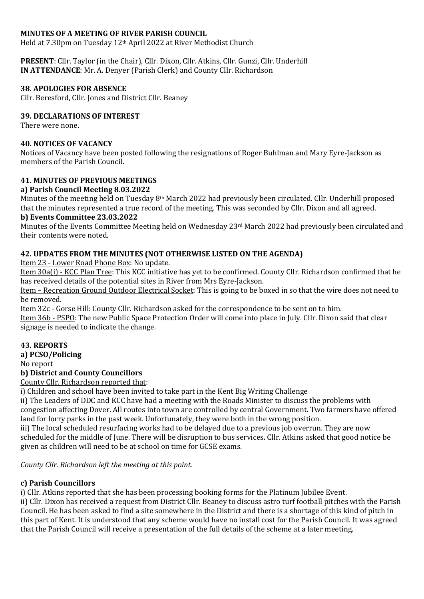# **MINUTES OF A MEETING OF RIVER PARISH COUNCIL**

Held at 7.30pm on Tuesday 12<sup>th</sup> April 2022 at River Methodist Church

PRESENT: Cllr. Taylor (in the Chair), Cllr. Dixon, Cllr. Atkins, Cllr. Gunzi, Cllr. Underhill **IN ATTENDANCE:** Mr. A. Denyer (Parish Clerk) and County Cllr. Richardson

### **38. APOLOGIES FOR ABSENCE**

Cllr. Beresford, Cllr. Jones and District Cllr. Beaney

### **39. DECLARATIONS OF INTEREST**

There were none.

### **40. NOTICES OF VACANCY**

Notices of Vacancy have been posted following the resignations of Roger Buhlman and Mary Eyre-Jackson as members of the Parish Council.

### **41. MINUTES OF PREVIOUS MEETINGS**

#### **a) Parish Council Meeting 8.03.2022**

Minutes of the meeting held on Tuesday 8<sup>th</sup> March 2022 had previously been circulated. Cllr. Underhill proposed that the minutes represented a true record of the meeting. This was seconded by Cllr. Dixon and all agreed.

#### **b)** Events Committee 23.03.2022

Minutes of the Events Committee Meeting held on Wednesday 23rd March 2022 had previously been circulated and their contents were noted.

# **42. UPDATES FROM THE MINUTES (NOT OTHERWISE LISTED ON THE AGENDA)**

Item 23 - Lower Road Phone Box: No update.

Item 30a(i) - KCC Plan Tree: This KCC initiative has yet to be confirmed. County Cllr. Richardson confirmed that he has received details of the potential sites in River from Mrs Eyre-Jackson.

Item - Recreation Ground Outdoor Electrical Socket: This is going to be boxed in so that the wire does not need to be removed.

Item 32c - Gorse Hill: County Cllr. Richardson asked for the correspondence to be sent on to him.

Item 36b - PSPO: The new Public Space Protection Order will come into place in July. Cllr. Dixon said that clear signage is needed to indicate the change.

### **43. REPORTS**

**a) PCSO/Policing**

No report

# **b) District and County Councillors**

County Cllr. Richardson reported that:

i) Children and school have been invited to take part in the Kent Big Writing Challenge

ii) The Leaders of DDC and KCC have had a meeting with the Roads Minister to discuss the problems with congestion affecting Dover. All routes into town are controlled by central Government. Two farmers have offered land for lorry parks in the past week. Unfortunately, they were both in the wrong position.

iii) The local scheduled resurfacing works had to be delayed due to a previous job overrun. They are now scheduled for the middle of June. There will be disruption to bus services. Cllr. Atkins asked that good notice be given as children will need to be at school on time for GCSE exams.

*County Cllr. Richardson left the meeting at this point.* 

### **c) Parish Councillors**

i) Cllr. Atkins reported that she has been processing booking forms for the Platinum Jubilee Event.

ii) Cllr. Dixon has received a request from District Cllr. Beaney to discuss astro turf football pitches with the Parish Council. He has been asked to find a site somewhere in the District and there is a shortage of this kind of pitch in this part of Kent. It is understood that any scheme would have no install cost for the Parish Council. It was agreed that the Parish Council will receive a presentation of the full details of the scheme at a later meeting.